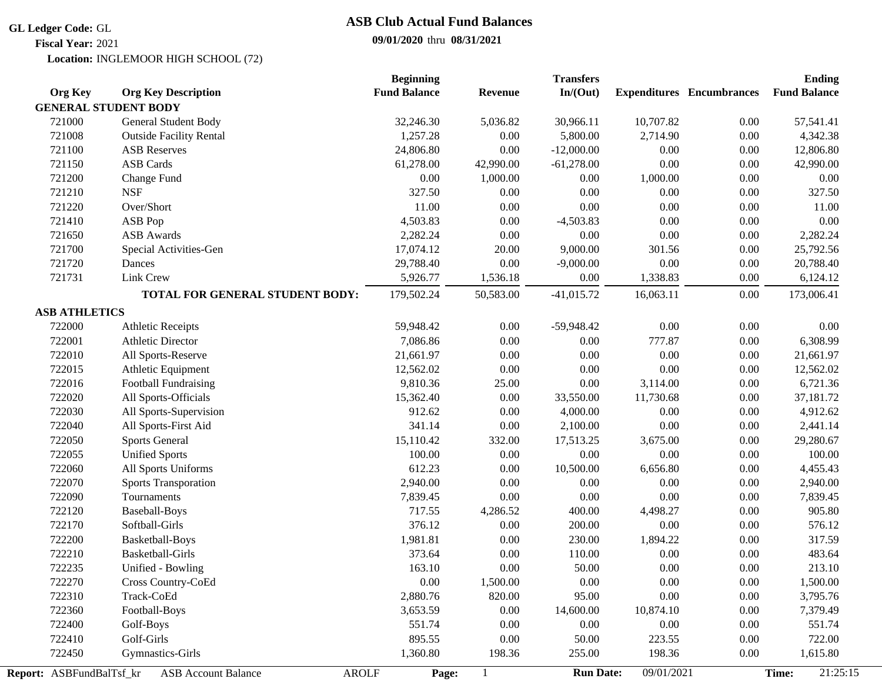#### **GL Ledger Code:** GL

**Fiscal Year:** 2021

## **ASB Club Actual Fund Balances**

### **09/01/2020** thru **08/31/2021**

Location: INGLEMOOR HIGH SCHOOL (72)

|                             |                                 | <b>Beginning</b>      |                | <b>Transfers</b> |                         |                                  | <b>Ending</b>       |
|-----------------------------|---------------------------------|-----------------------|----------------|------------------|-------------------------|----------------------------------|---------------------|
| <b>Org Key</b>              | <b>Org Key Description</b>      | <b>Fund Balance</b>   | <b>Revenue</b> | In/(Out)         |                         | <b>Expenditures</b> Encumbrances | <b>Fund Balance</b> |
| <b>GENERAL STUDENT BODY</b> |                                 |                       |                |                  |                         |                                  |                     |
| 721000                      | General Student Body            | 32,246.30             | 5,036.82       | 30,966.11        | 10,707.82               | 0.00                             | 57,541.41           |
| 721008                      | <b>Outside Facility Rental</b>  | 1,257.28              | 0.00           | 5,800.00         | 2,714.90                | $0.00\,$                         | 4,342.38            |
| 721100                      | <b>ASB Reserves</b>             | 24,806.80             | 0.00           | $-12,000.00$     | 0.00                    | 0.00                             | 12,806.80           |
| 721150                      | <b>ASB Cards</b>                | 61,278.00             | 42,990.00      | $-61,278.00$     | 0.00                    | 0.00                             | 42,990.00           |
| 721200                      | Change Fund                     | 0.00                  | 1,000.00       | 0.00             | 1,000.00                | $0.00\,$                         | 0.00                |
| 721210                      | <b>NSF</b>                      | 327.50                | 0.00           | 0.00             | $0.00\,$                | $0.00\,$                         | 327.50              |
| 721220                      | Over/Short                      | 11.00                 | $0.00\,$       | $0.00\,$         | $0.00\,$                | $0.00\,$                         | 11.00               |
| 721410                      | ASB Pop                         | 4,503.83              | $0.00\,$       | $-4,503.83$      | $0.00\,$                | 0.00                             | 0.00                |
| 721650                      | <b>ASB</b> Awards               | 2,282.24              | 0.00           | 0.00             | $0.00\,$                | 0.00                             | 2,282.24            |
| 721700                      | Special Activities-Gen          | 17,074.12             | 20.00          | 9,000.00         | 301.56                  | $0.00\,$                         | 25,792.56           |
| 721720                      | Dances                          | 29,788.40             | 0.00           | $-9,000.00$      | 0.00                    | $0.00\,$                         | 20,788.40           |
| 721731                      | Link Crew                       | 5,926.77              | 1,536.18       | 0.00             | 1,338.83                | 0.00                             | 6,124.12            |
|                             | TOTAL FOR GENERAL STUDENT BODY: | 179,502.24            | 50,583.00      | $-41,015.72$     | 16,063.11               | $0.00\,$                         | 173,006.41          |
| <b>ASB ATHLETICS</b>        |                                 |                       |                |                  |                         |                                  |                     |
| 722000                      | <b>Athletic Receipts</b>        | 59,948.42             | 0.00           | $-59,948.42$     | 0.00                    | 0.00                             | 0.00                |
| 722001                      | <b>Athletic Director</b>        | 7,086.86              | 0.00           | 0.00             | 777.87                  | $0.00\,$                         | 6,308.99            |
| 722010                      | All Sports-Reserve              | 21,661.97             | $0.00\,$       | $0.00\,$         | 0.00                    | 0.00                             | 21,661.97           |
| 722015                      | Athletic Equipment              | 12,562.02             | 0.00           | $0.00\,$         | 0.00                    | $0.00\,$                         | 12,562.02           |
| 722016                      | Football Fundraising            | 9,810.36              | 25.00          | $0.00\,$         | 3,114.00                | $0.00\,$                         | 6,721.36            |
| 722020                      | All Sports-Officials            | 15,362.40             | 0.00           | 33,550.00        | 11,730.68               | $0.00\,$                         | 37,181.72           |
| 722030                      | All Sports-Supervision          | 912.62                | 0.00           | 4,000.00         | 0.00                    | $0.00\,$                         | 4,912.62            |
| 722040                      | All Sports-First Aid            | 341.14                | 0.00           | 2,100.00         | 0.00                    | $0.00\,$                         | 2,441.14            |
| 722050                      | <b>Sports General</b>           | 15,110.42             | 332.00         | 17,513.25        | 3,675.00                | $0.00\,$                         | 29,280.67           |
| 722055                      | <b>Unified Sports</b>           | 100.00                | 0.00           | $0.00\,$         | 0.00                    | $0.00\,$                         | 100.00              |
| 722060                      | All Sports Uniforms             | 612.23                | 0.00           | 10,500.00        | 6,656.80                | $0.00\,$                         | 4,455.43            |
| 722070                      | <b>Sports Transporation</b>     | 2,940.00              | 0.00           | 0.00             | 0.00                    | $0.00\,$                         | 2,940.00            |
| 722090                      | Tournaments                     | 7,839.45              | 0.00           | 0.00             | 0.00                    | $0.00\,$                         | 7,839.45            |
| 722120                      | <b>Baseball-Boys</b>            | 717.55                | 4,286.52       | 400.00           | 4,498.27                | $0.00\,$                         | 905.80              |
| 722170                      | Softball-Girls                  | 376.12                | 0.00           | 200.00           | 0.00                    | 0.00                             | 576.12              |
| 722200                      | Basketball-Boys                 | 1,981.81              | 0.00           | 230.00           | 1,894.22                | $0.00\,$                         | 317.59              |
| 722210                      | <b>Basketball-Girls</b>         | 373.64                | 0.00           | 110.00           | $0.00\,$                | $0.00\,$                         | 483.64              |
| 722235                      | Unified - Bowling               | 163.10                | 0.00           | 50.00            | 0.00                    | 0.00                             | 213.10              |
| 722270                      | Cross Country-CoEd              | 0.00                  | 1,500.00       | $0.00\,$         | $0.00\,$                | 0.00                             | 1,500.00            |
| 722310                      | Track-CoEd                      | 2,880.76              | 820.00         | 95.00            | 0.00                    | 0.00                             | 3,795.76            |
| 722360                      | Football-Boys                   | 3,653.59              | 0.00           | 14,600.00        | 10,874.10               | $0.00\,$                         | 7,379.49            |
| 722400                      | Golf-Boys                       | 551.74                | 0.00           | 0.00             | 0.00                    | 0.00                             | 551.74              |
| 722410                      | Golf-Girls                      | 895.55                | 0.00           | 50.00            | 223.55                  | 0.00                             | 722.00              |
| 722450                      | Gymnastics-Girls                | 1,360.80              | 198.36         | 255.00           | 198.36                  | 0.00                             | 1,615.80            |
| Report: ASBFundBalTsf_kr    | <b>ASB Account Balance</b>      | <b>AROLF</b><br>Page: |                | <b>Run Date:</b> | $\overline{09/01/2021}$ |                                  | 21:25:15<br>Time:   |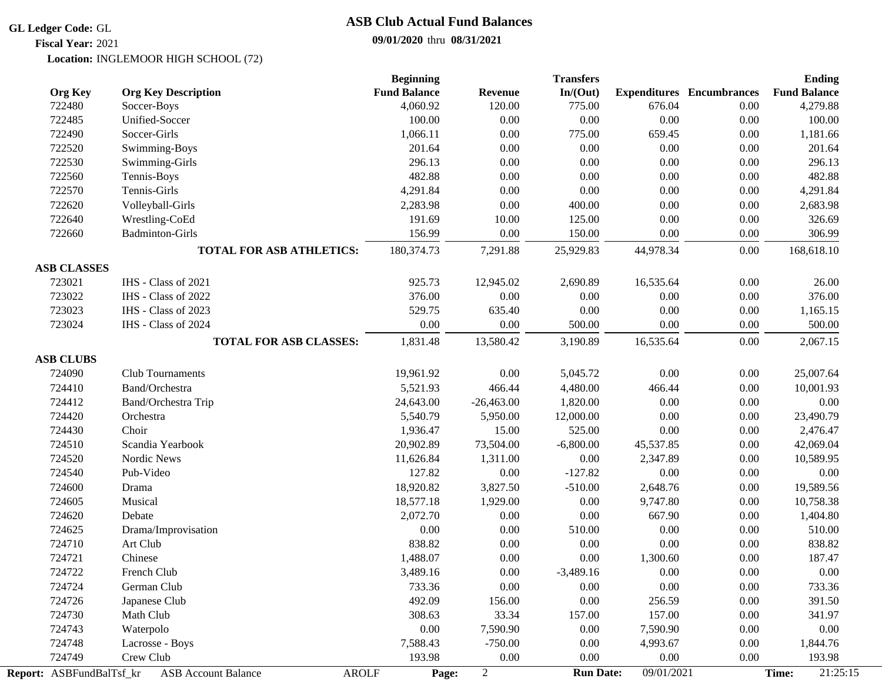#### **GL Ledger Code:** GL

**Fiscal Year:** 2021

## **ASB Club Actual Fund Balances**

### **09/01/2020** thru **08/31/2021**

Location: INGLEMOOR HIGH SCHOOL (72)

|                          |                                 | <b>Beginning</b>      |                | <b>Transfers</b> |            |                                  | <b>Ending</b>       |
|--------------------------|---------------------------------|-----------------------|----------------|------------------|------------|----------------------------------|---------------------|
| <b>Org Key</b>           | <b>Org Key Description</b>      | <b>Fund Balance</b>   | <b>Revenue</b> | In/(Out)         |            | <b>Expenditures</b> Encumbrances | <b>Fund Balance</b> |
| 722480                   | Soccer-Boys                     | 4,060.92              | 120.00         | 775.00           | 676.04     | 0.00                             | 4,279.88            |
| 722485                   | Unified-Soccer                  | 100.00                | 0.00           | $0.00\,$         | 0.00       | $0.00\,$                         | 100.00              |
| 722490                   | Soccer-Girls                    | 1,066.11              | $0.00\,$       | 775.00           | 659.45     | 0.00                             | 1,181.66            |
| 722520                   | Swimming-Boys                   | 201.64                | 0.00           | $0.00\,$         | 0.00       | $0.00\,$                         | 201.64              |
| 722530                   | Swimming-Girls                  | 296.13                | $0.00\,$       | $0.00\,$         | $0.00\,$   | $0.00\,$                         | 296.13              |
| 722560                   | Tennis-Boys                     | 482.88                | 0.00           | $0.00\,$         | $0.00\,$   | $0.00\,$                         | 482.88              |
| 722570                   | Tennis-Girls                    | 4,291.84              | 0.00           | 0.00             | $0.00\,$   | 0.00                             | 4,291.84            |
| 722620                   | Volleyball-Girls                | 2,283.98              | 0.00           | 400.00           | $0.00\,$   | $0.00\,$                         | 2,683.98            |
| 722640                   | Wrestling-CoEd                  | 191.69                | 10.00          | 125.00           | $0.00\,$   | $0.00\,$                         | 326.69              |
| 722660                   | <b>Badminton-Girls</b>          | 156.99                | 0.00           | 150.00           | 0.00       | $0.00\,$                         | 306.99              |
|                          | <b>TOTAL FOR ASB ATHLETICS:</b> | 180,374.73            | 7,291.88       | 25,929.83        | 44,978.34  | $0.00\,$                         | 168,618.10          |
| <b>ASB CLASSES</b>       |                                 |                       |                |                  |            |                                  |                     |
| 723021                   | IHS - Class of 2021             | 925.73                | 12,945.02      | 2,690.89         | 16,535.64  | $0.00\,$                         | 26.00               |
| 723022                   | IHS - Class of 2022             | 376.00                | 0.00           | 0.00             | 0.00       | $0.00\,$                         | 376.00              |
| 723023                   | IHS - Class of 2023             | 529.75                | 635.40         | 0.00             | $0.00\,$   | 0.00                             | 1,165.15            |
| 723024                   | IHS - Class of 2024             | 0.00                  | 0.00           | 500.00           | 0.00       | 0.00                             | 500.00              |
|                          | <b>TOTAL FOR ASB CLASSES:</b>   | 1,831.48              | 13,580.42      | 3,190.89         | 16,535.64  | 0.00                             | 2,067.15            |
| <b>ASB CLUBS</b>         |                                 |                       |                |                  |            |                                  |                     |
| 724090                   | Club Tournaments                | 19,961.92             | 0.00           | 5,045.72         | 0.00       | $0.00\,$                         | 25,007.64           |
| 724410                   | Band/Orchestra                  | 5,521.93              | 466.44         | 4,480.00         | 466.44     | 0.00                             | 10,001.93           |
| 724412                   | Band/Orchestra Trip             | 24,643.00             | $-26,463.00$   | 1,820.00         | 0.00       | 0.00                             | 0.00                |
| 724420                   | Orchestra                       | 5,540.79              | 5,950.00       | 12,000.00        | $0.00\,$   | 0.00                             | 23,490.79           |
| 724430                   | Choir                           | 1,936.47              | 15.00          | 525.00           | 0.00       | $0.00\,$                         | 2,476.47            |
| 724510                   | Scandia Yearbook                | 20,902.89             | 73,504.00      | $-6,800.00$      | 45,537.85  | 0.00                             | 42,069.04           |
| 724520                   | Nordic News                     | 11,626.84             | 1,311.00       | 0.00             | 2,347.89   | $0.00\,$                         | 10,589.95           |
| 724540                   | Pub-Video                       | 127.82                | $0.00\,$       | $-127.82$        | $0.00\,$   | $0.00\,$                         | 0.00                |
| 724600                   | Drama                           | 18,920.82             | 3,827.50       | $-510.00$        | 2,648.76   | $0.00\,$                         | 19,589.56           |
| 724605                   | Musical                         | 18,577.18             | 1,929.00       | 0.00             | 9,747.80   | 0.00                             | 10,758.38           |
| 724620                   | Debate                          | 2,072.70              | 0.00           | $0.00\,$         | 667.90     | 0.00                             | 1,404.80            |
| 724625                   | Drama/Improvisation             | 0.00                  | 0.00           | 510.00           | $0.00\,$   | 0.00                             | 510.00              |
| 724710                   | Art Club                        | 838.82                | 0.00           | 0.00             | 0.00       | 0.00                             | 838.82              |
| 724721                   | Chinese                         | 1,488.07              | 0.00           | 0.00             | 1,300.60   | 0.00                             | 187.47              |
| 724722                   | French Club                     | 3,489.16              | 0.00           | $-3,489.16$      | 0.00       | 0.00                             | 0.00                |
| 724724                   | German Club                     | 733.36                | 0.00           | 0.00             | 0.00       | 0.00                             | 733.36              |
| 724726                   | Japanese Club                   | 492.09                | 156.00         | $0.00\,$         | 256.59     | 0.00                             | 391.50              |
| 724730                   | Math Club                       | 308.63                | 33.34          | 157.00           | 157.00     | 0.00                             | 341.97              |
| 724743                   | Waterpolo                       | 0.00                  | 7,590.90       | $0.00\,$         | 7,590.90   | 0.00                             | 0.00                |
| 724748                   | Lacrosse - Boys                 | 7,588.43              | $-750.00$      | 0.00             | 4,993.67   | 0.00                             | 1,844.76            |
| 724749                   | Crew Club                       | 193.98                | 0.00           | 0.00             | 0.00       | 0.00                             | 193.98              |
| Report: ASBFundBalTsf_kr | <b>ASB Account Balance</b>      | <b>AROLF</b><br>Page: | $\overline{2}$ | <b>Run Date:</b> | 09/01/2021 |                                  | 21:25:15<br>Time:   |